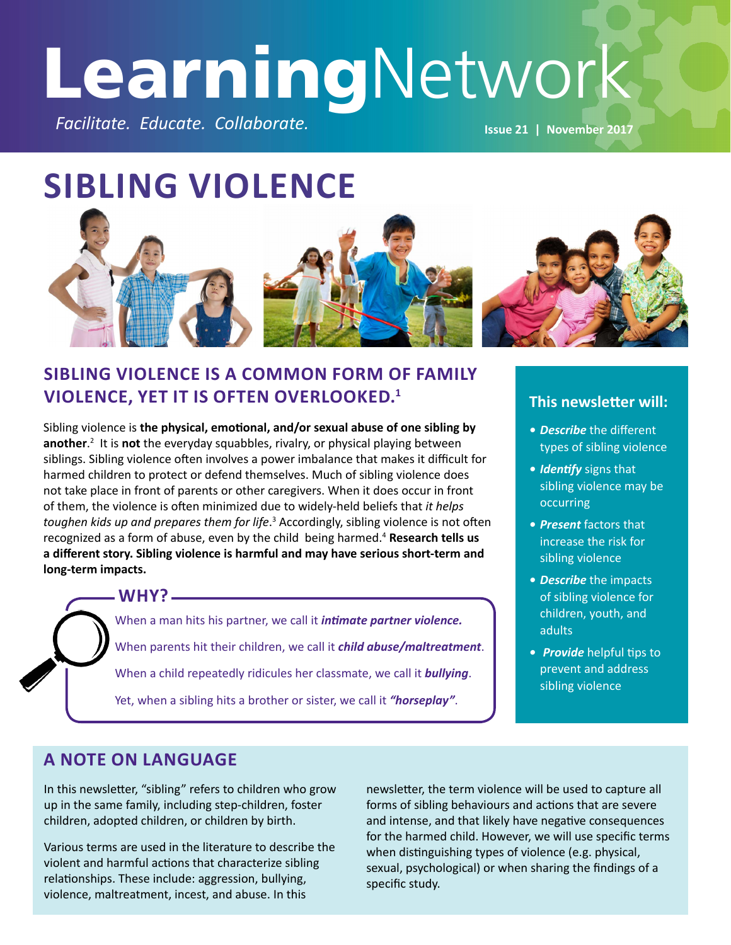# **Learning**Network *Facilitate. Educate. Collaborate.* **Issue 21 | November 2017**

# **SIBLING VIOLENCE**



### **SIBLING VIOLENCE IS A COMMON FORM OF FAMILY VIOLENCE, YET IT IS OFTEN OVERLOOKED.<sup>1</sup> This newsletter will:**

Sibling violence is **the physical, emotional, and/or sexual abuse of one sibling by**  another.<sup>2</sup> It is not the everyday squabbles, rivalry, or physical playing between siblings. Sibling violence often involves a power imbalance that makes it difficult for harmed children to protect or defend themselves. Much of sibling violence does not take place in front of parents or other caregivers. When it does occur in front of them, the violence is often minimized due to widely-held beliefs that *it helps*  toughen kids up and prepares them for life.<sup>3</sup> Accordingly, sibling violence is not often recognized as a form of abuse, even by the child being harmed.<sup>4</sup> **Research tells us a different story. Sibling violence is harmful and may have serious short-term and long-term impacts.**

> When a man hits his partner, we call it *intimate partner violence.* When parents hit their children, we call it *child abuse/maltreatment*. When a child repeatedly ridicules her classmate, we call it *bullying*. Yet, when a sibling hits a brother or sister, we call it *"horseplay"*. **WHY?**



- *• Describe* the different types of sibling violence
- *• Identify* signs that sibling violence may be occurring
- *• Present* factors that increase the risk for sibling violence
- *• Describe* the impacts of sibling violence for children, youth, and adults
- *Provide* helpful tips to prevent and address sibling violence

### **A NOTE ON LANGUAGE**

In this newsletter, "sibling" refers to children who grow up in the same family, including step-children, foster children, adopted children, or children by birth.

Various terms are used in the literature to describe the violent and harmful actions that characterize sibling relationships. These include: aggression, bullying, violence, maltreatment, incest, and abuse. In this

newsletter, the term violence will be used to capture all forms of sibling behaviours and actions that are severe and intense, and that likely have negative consequences for the harmed child. However, we will use specific terms when distinguishing types of violence (e.g. physical, sexual, psychological) or when sharing the findings of a specific study.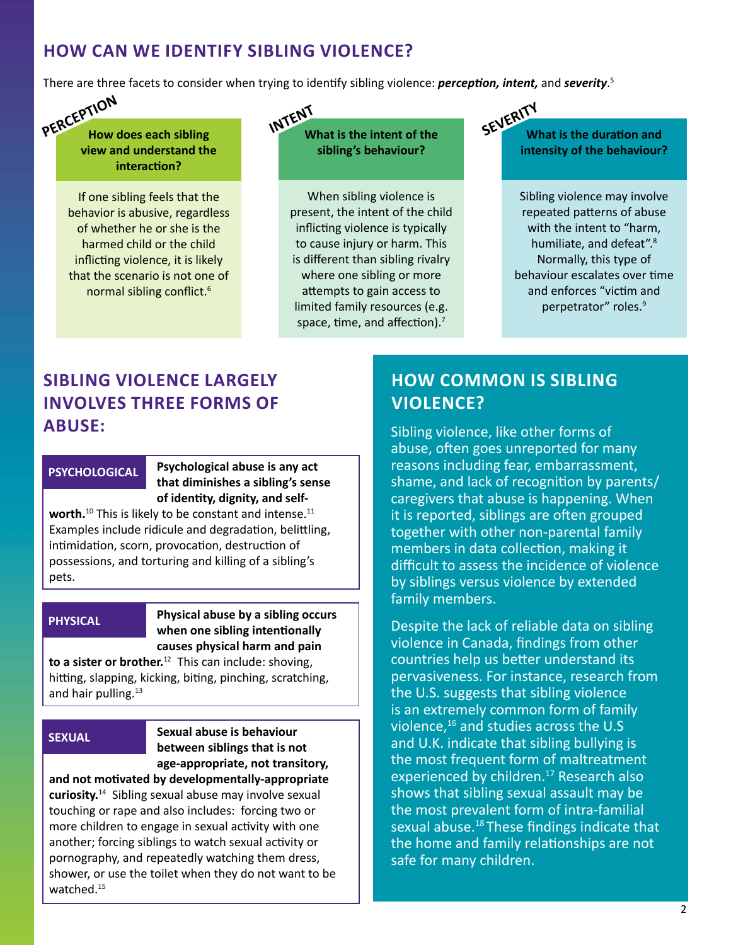### **HOW CAN WE IDENTIFY SIBLING VIOLENCE?**

There are three facets to consider when trying to identify sibling violence: *perception, intent,* and *severity*. 5

**How does each sibling view and understand the interaction? PERCEPTION**

> If one sibling feels that the behavior is abusive, regardless of whether he or she is the harmed child or the child inflicting violence, it is likely that the scenario is not one of normal sibling conflict.<sup>6</sup>

**What is the intent of the sibling's behaviour? INTENT**

> When sibling violence is present, the intent of the child inflicting violence is typically to cause injury or harm. This is different than sibling rivalry where one sibling or more attempts to gain access to limited family resources (e.g. space, time, and affection).<sup>7</sup>

**What is the duration and intensity of the behaviour? SEVERITY**

> Sibling violence may involve repeated patterns of abuse with the intent to "harm, humiliate, and defeat".<sup>8</sup> Normally, this type of behaviour escalates over time and enforces "victim and perpetrator" roles.<sup>9</sup>

## **SIBLING VIOLENCE LARGELY INVOLVES THREE FORMS OF ABUSE:**

#### **PSYCHOLOGICAL**

**Psychological abuse is any act that diminishes a sibling's sense of identity, dignity, and self-**

worth.<sup>10</sup> This is likely to be constant and intense.<sup>11</sup> Examples include ridicule and degradation, belittling, intimidation, scorn, provocation, destruction of possessions, and torturing and killing of a sibling's pets.

#### **PHYSICAL**

**Physical abuse by a sibling occurs when one sibling intentionally causes physical harm and pain** 

**to a sister or brother.**<sup>12</sup> This can include: shoving, hitting, slapping, kicking, biting, pinching, scratching, and hair pulling.<sup>13</sup>

#### **SEXUAL**

**Sexual abuse is behaviour between siblings that is not age-appropriate, not transitory,** 

**and not motivated by developmentally-appropriate curiosity.**<sup>14</sup> Sibling sexual abuse may involve sexual touching or rape and also includes: forcing two or more children to engage in sexual activity with one another; forcing siblings to watch sexual activity or pornography, and repeatedly watching them dress, shower, or use the toilet when they do not want to be watched.<sup>15</sup>

### **HOW COMMON IS SIBLING VIOLENCE?**

Sibling violence, like other forms of abuse, often goes unreported for many reasons including fear, embarrassment, shame, and lack of recognition by parents/ caregivers that abuse is happening. When it is reported, siblings are often grouped together with other non-parental family members in data collection, making it difficult to assess the incidence of violence by siblings versus violence by extended family members.

Despite the lack of reliable data on sibling violence in Canada, findings from other countries help us better understand its pervasiveness. For instance, research from the U.S. suggests that sibling violence is an extremely common form of family violence, $16$  and studies across the U.S and U.K. indicate that sibling bullying is the most frequent form of maltreatment experienced by children.<sup>17</sup> Research also shows that sibling sexual assault may be the most prevalent form of intra-familial sexual abuse.<sup>18</sup> These findings indicate that the home and family relationships are not safe for many children.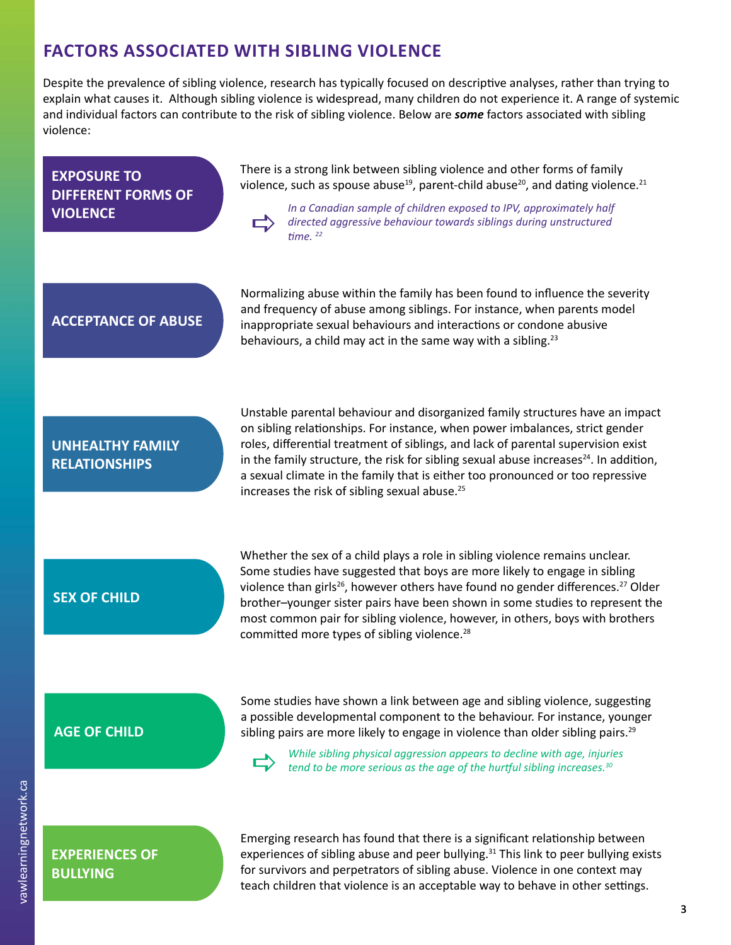### **FACTORS ASSOCIATED WITH SIBLING VIOLENCE**

Despite the prevalence of sibling violence, research has typically focused on descriptive analyses, rather than trying to explain what causes it. Although sibling violence is widespread, many children do not experience it. A range of systemic and individual factors can contribute to the risk of sibling violence. Below are *some* factors associated with sibling violence:

#### **EXPOSURE TO DIFFERENT FORMS OF VIOLENCE**

There is a strong link between sibling violence and other forms of family violence, such as spouse abuse<sup>19</sup>, parent-child abuse<sup>20</sup>, and dating violence.<sup>21</sup>

*In a Canadian sample of children exposed to IPV, approximately half directed aggressive behaviour towards siblings during unstructured time*<sup>22</sup> *time.* 

### **ACCEPTANCE OF ABUSE**

Normalizing abuse within the family has been found to influence the severity and frequency of abuse among siblings. For instance, when parents model inappropriate sexual behaviours and interactions or condone abusive behaviours, a child may act in the same way with a sibling. $23$ 

### **UNHEALTHY FAMILY RELATIONSHIPS**

Unstable parental behaviour and disorganized family structures have an impact on sibling relationships. For instance, when power imbalances, strict gender roles, differential treatment of siblings, and lack of parental supervision exist in the family structure, the risk for sibling sexual abuse increases $^{24}$ . In addition, a sexual climate in the family that is either too pronounced or too repressive increases the risk of sibling sexual abuse.<sup>25</sup>

#### **SEX OF CHILD**

Whether the sex of a child plays a role in sibling violence remains unclear. Some studies have suggested that boys are more likely to engage in sibling violence than girls<sup>26</sup>, however others have found no gender differences.<sup>27</sup> Older brother–younger sister pairs have been shown in some studies to represent the most common pair for sibling violence, however, in others, boys with brothers committed more types of sibling violence.<sup>28</sup>

Some studies have shown a link between age and sibling violence, suggesting a possible developmental component to the behaviour. For instance, younger **AGE OF CHILD** sibling pairs are more likely to engage in violence than older sibling pairs.<sup>29</sup>



*While sibling physical aggression appears to decline with age, injuries tend to be more serious as the age of the hurtful sibling increases.<sup>30</sup>* 

**EXPERIENCES OF BULLYING**

Emerging research has found that there is a significant relationship between experiences of sibling abuse and peer bullying.<sup>31</sup> This link to peer bullying exists for survivors and perpetrators of sibling abuse. Violence in one context may teach children that violence is an acceptable way to behave in other settings.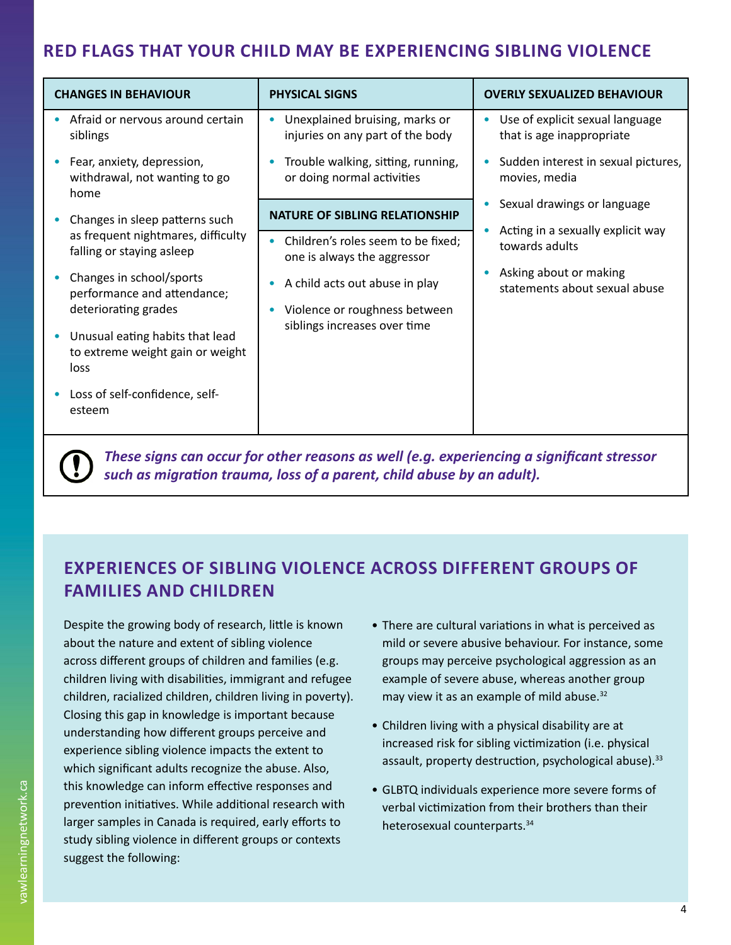### **RED FLAGS THAT YOUR CHILD MAY BE EXPERIENCING SIBLING VIOLENCE**

| <b>CHANGES IN BEHAVIOUR</b>                                                     | <b>PHYSICAL SIGNS</b>                                              | <b>OVERLY SEXUALIZED BEHAVIOUR</b>                                |
|---------------------------------------------------------------------------------|--------------------------------------------------------------------|-------------------------------------------------------------------|
| Afraid or nervous around certain<br>siblings                                    | Unexplained bruising, marks or<br>injuries on any part of the body | Use of explicit sexual language<br>٠<br>that is age inappropriate |
| Fear, anxiety, depression,<br>withdrawal, not wanting to go<br>home             | Trouble walking, sitting, running,<br>or doing normal activities   | Sudden interest in sexual pictures,<br>movies, media              |
| Changes in sleep patterns such                                                  | <b>NATURE OF SIBLING RELATIONSHIP</b>                              | Sexual drawings or language<br>٠                                  |
| as frequent nightmares, difficulty<br>falling or staying asleep                 | Children's roles seem to be fixed;<br>one is always the aggressor  | Acting in a sexually explicit way<br>towards adults               |
| Changes in school/sports<br>performance and attendance;<br>deteriorating grades | A child acts out abuse in play<br>Violence or roughness between    | Asking about or making<br>statements about sexual abuse           |
| Unusual eating habits that lead<br>to extreme weight gain or weight<br>loss     | siblings increases over time                                       |                                                                   |
| Loss of self-confidence, self-<br>esteem                                        |                                                                    |                                                                   |
|                                                                                 |                                                                    |                                                                   |

*These signs can occur for other reasons as well (e.g. experiencing a significant stressor*   $\mathbf{U}$ *such as migration trauma, loss of a parent, child abuse by an adult).*

### **EXPERIENCES OF SIBLING VIOLENCE ACROSS DIFFERENT GROUPS OF FAMILIES AND CHILDREN**

Despite the growing body of research, little is known about the nature and extent of sibling violence across different groups of children and families (e.g. children living with disabilities, immigrant and refugee children, racialized children, children living in poverty). Closing this gap in knowledge is important because understanding how different groups perceive and experience sibling violence impacts the extent to which significant adults recognize the abuse. Also, this knowledge can inform effective responses and prevention initiatives. While additional research with larger samples in Canada is required, early efforts to study sibling violence in different groups or contexts suggest the following:

- There are cultural variations in what is perceived as mild or severe abusive behaviour. For instance, some groups may perceive psychological aggression as an example of severe abuse, whereas another group may view it as an example of mild abuse.<sup>32</sup>
- Children living with a physical disability are at increased risk for sibling victimization (i.e. physical assault, property destruction, psychological abuse). $33$
- GLBTQ individuals experience more severe forms of verbal victimization from their brothers than their heterosexual counterparts.<sup>34</sup>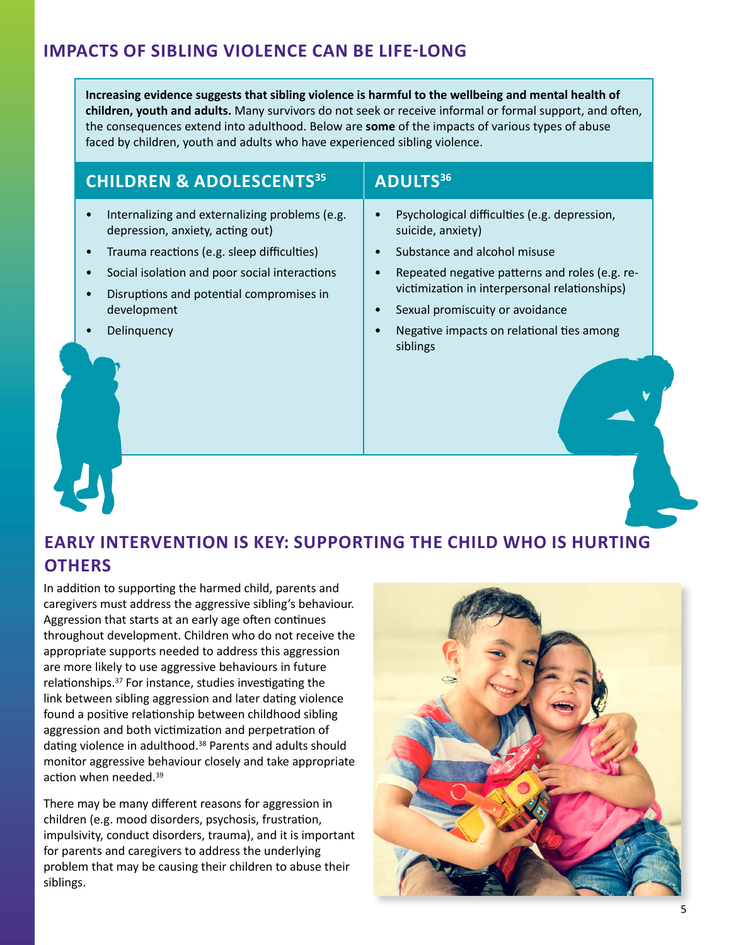### **IMPACTS OF SIBLING VIOLENCE CAN BE LIFE-LONG**

**Increasing evidence suggests that sibling violence is harmful to the wellbeing and mental health of children, youth and adults.** Many survivors do not seek or receive informal or formal support, and often, the consequences extend into adulthood. Below are **some** of the impacts of various types of abuse faced by children, youth and adults who have experienced sibling violence.

### **CHILDREN & ADOLESCENTS35 ADULTS36**

#### • Internalizing and externalizing problems (e.g. depression, anxiety, acting out)

- Trauma reactions (e.g. sleep difficulties)
- Social isolation and poor social interactions
- Disruptions and potential compromises in development
- **Delinquency**

- Psychological difficulties (e.g. depression, suicide, anxiety)
- Substance and alcohol misuse
- Repeated negative patterns and roles (e.g. revictimization in interpersonal relationships)
- Sexual promiscuity or avoidance
- Negative impacts on relational ties among siblings

## **EARLY INTERVENTION IS KEY: SUPPORTING THE CHILD WHO IS HURTING OTHERS**

In addition to supporting the harmed child, parents and caregivers must address the aggressive sibling's behaviour. Aggression that starts at an early age often continues throughout development. Children who do not receive the appropriate supports needed to address this aggression are more likely to use aggressive behaviours in future relationships.<sup>37</sup> For instance, studies investigating the link between sibling aggression and later dating violence found a positive relationship between childhood sibling aggression and both victimization and perpetration of dating violence in adulthood.<sup>38</sup> Parents and adults should monitor aggressive behaviour closely and take appropriate action when needed.<sup>39</sup>

There may be many different reasons for aggression in children (e.g. mood disorders, psychosis, frustration, impulsivity, conduct disorders, trauma), and it is important for parents and caregivers to address the underlying problem that may be causing their children to abuse their siblings.

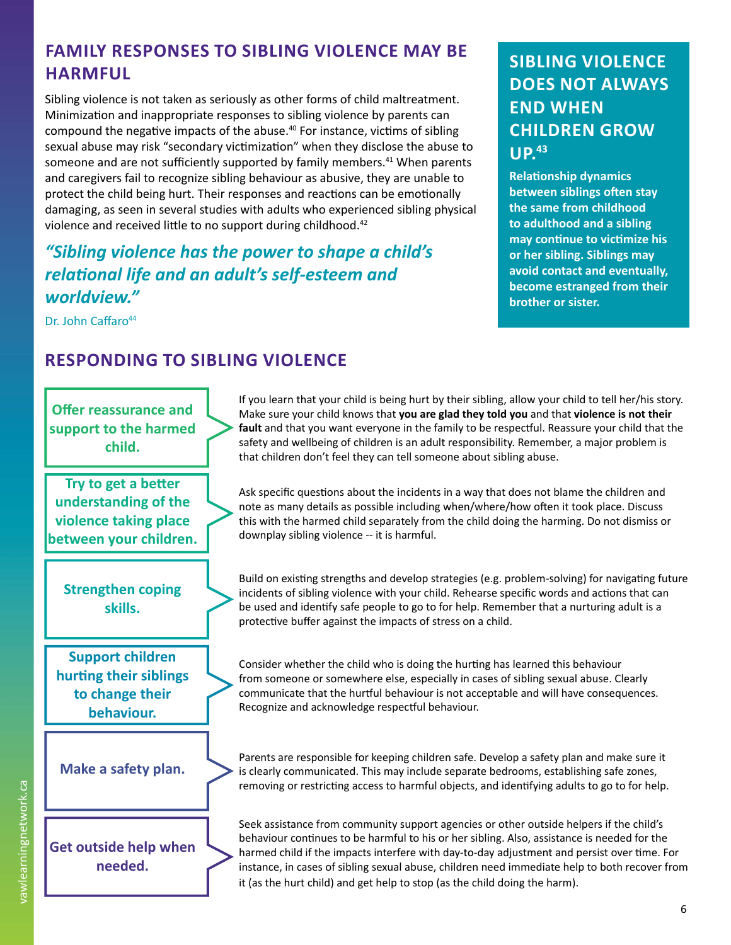### **FAMILY RESPONSES TO SIBLING VIOLENCE MAY BE HARMFUL BEST CRISES TO SIBLING VIOLENCE IN THE SIBLING VIOLENCE**

Sibling violence is not taken as seriously as other forms of child maltreatment. Minimization and inappropriate responses to sibling violence by parents can compound the negative impacts of the abuse.<sup>40</sup> For instance, victims of sibling sexual abuse may risk "secondary victimization" when they disclose the abuse to someone and are not sufficiently supported by family members.<sup>41</sup> When parents and caregivers fail to recognize sibling behaviour as abusive, they are unable to protect the child being hurt. Their responses and reactions can be emotionally damaging, as seen in several studies with adults who experienced sibling physical violence and received little to no support during childhood.<sup>42</sup>

### *"Sibling violence has the power to shape a child's relational life and an adult's self-esteem and worldview."*

Dr. John Caffaro<sup>44</sup>

# **DOES NOT ALWAYS END WHEN CHILDREN GROW UP.43**

**Relationship dynamics between siblings often stay the same from childhood to adulthood and a sibling may continue to victimize his or her sibling. Siblings may avoid contact and eventually, become estranged from their brother or sister.**

### **RESPONDING TO SIBLING VIOLENCE**



If you learn that your child is being hurt by their sibling, allow your child to tell her/his story. Make sure your child knows that **you are glad they told you** and that **violence is not their fault** and that you want everyone in the family to be respectful. Reassure your child that the safety and wellbeing of children is an adult responsibility. Remember, a major problem is that children don't feel they can tell someone about sibling abuse.

Ask specific questions about the incidents in a way that does not blame the children and note as many details as possible including when/where/how often it took place. Discuss this with the harmed child separately from the child doing the harming. Do not dismiss or downplay sibling violence -- it is harmful.

Build on existing strengths and develop strategies (e.g. problem-solving) for navigating future incidents of sibling violence with your child. Rehearse specific words and actions that can be used and identify safe people to go to for help. Remember that a nurturing adult is a protective buffer against the impacts of stress on a child.

Consider whether the child who is doing the hurting has learned this behaviour from someone or somewhere else, especially in cases of sibling sexual abuse. Clearly communicate that the hurtful behaviour is not acceptable and will have consequences. Recognize and acknowledge respectful behaviour.

Parents are responsible for keeping children safe. Develop a safety plan and make sure it is clearly communicated. This may include separate bedrooms, establishing safe zones, removing or restricting access to harmful objects, and identifying adults to go to for help.

Seek assistance from community support agencies or other outside helpers if the child's behaviour continues to be harmful to his or her sibling. Also, assistance is needed for the harmed child if the impacts interfere with day-to-day adjustment and persist over time. For instance, in cases of sibling sexual abuse, children need immediate help to both recover from it (as the hurt child) and get help to stop (as the child doing the harm).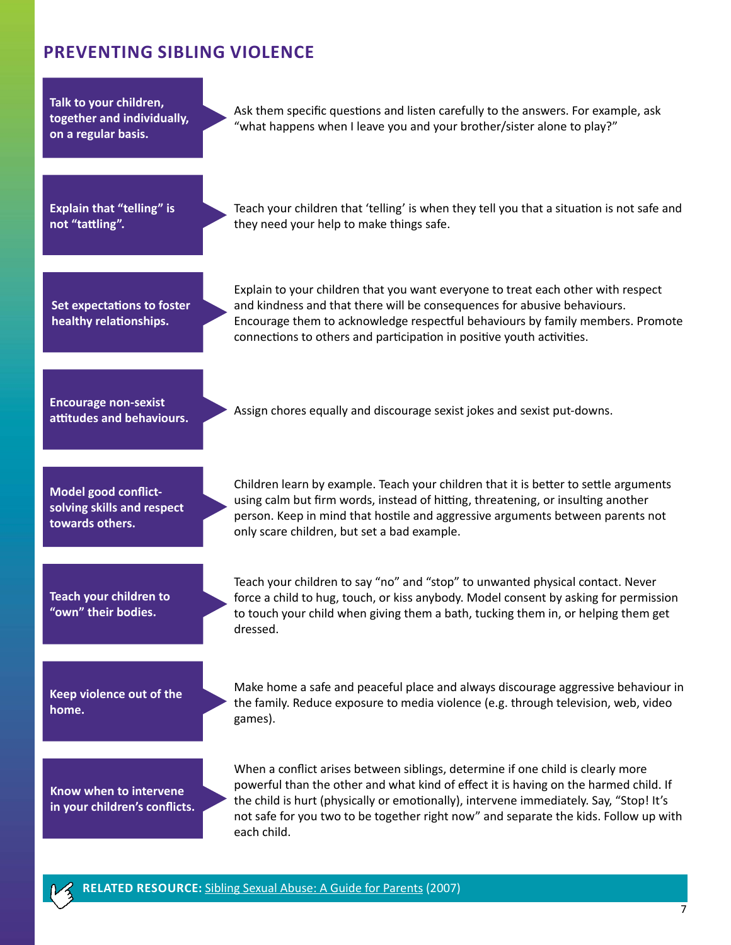### **PREVENTING SIBLING VIOLENCE**